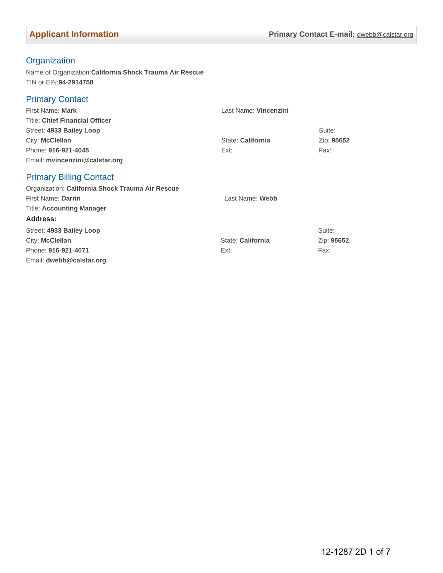## **Organization**

Name of Organization:**California Shock Trauma Air Rescue** TIN or EIN:**94-2914758**

### Primary Contact

| First Name: Mark                                        | Last Name: Vincenzini |            |
|---------------------------------------------------------|-----------------------|------------|
| <b>Title: Chief Financial Officer</b>                   |                       |            |
| Street: 4933 Bailey Loop                                |                       | Suite:     |
| City: McClellan                                         | State: California     | Zip: 95652 |
| Phone: 916-921-4045                                     | Ext:                  | Fax:       |
| Email: mvincenzini@calstar.org                          |                       |            |
| <b>Primary Billing Contact</b>                          |                       |            |
| $\sim$ $\sim$ $\sim$ $\sim$ $\sim$ $\sim$ $\sim$ $\sim$ |                       |            |

| Last Name: Webb   |            |
|-------------------|------------|
|                   |            |
|                   |            |
|                   | Suite:     |
| State: California | Zip: 95652 |
| Ext:              | Fax:       |
|                   |            |
|                   |            |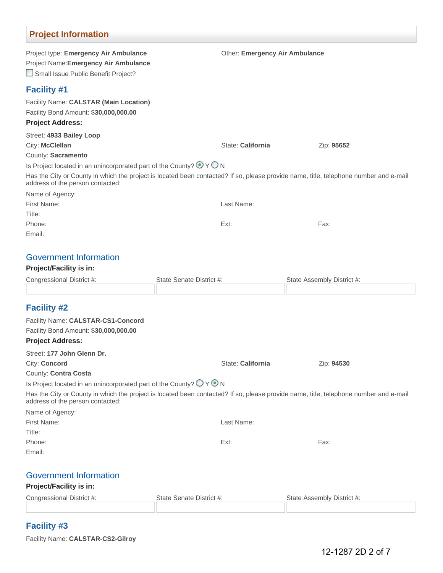## **Project Information**

| Project type: Emergency Air Ambulance<br>Project Name: Emergency Air Ambulance<br>Small Issue Public Benefit Project? |                          | Other: Emergency Air Ambulance                                                                                                        |  |
|-----------------------------------------------------------------------------------------------------------------------|--------------------------|---------------------------------------------------------------------------------------------------------------------------------------|--|
| <b>Facility #1</b>                                                                                                    |                          |                                                                                                                                       |  |
| Facility Name: CALSTAR (Main Location)<br>Facility Bond Amount: \$30,000,000.00<br><b>Project Address:</b>            |                          |                                                                                                                                       |  |
| Street: 4933 Bailey Loop                                                                                              |                          |                                                                                                                                       |  |
| City: McClellan                                                                                                       | State: California        | Zip: 95652                                                                                                                            |  |
| County: Sacramento                                                                                                    |                          |                                                                                                                                       |  |
| Is Project located in an unincorporated part of the County? $\bigcirc$ Y O N                                          |                          |                                                                                                                                       |  |
| address of the person contacted:                                                                                      |                          | Has the City or County in which the project is located been contacted? If so, please provide name, title, telephone number and e-mail |  |
| Name of Agency:                                                                                                       |                          |                                                                                                                                       |  |
| First Name:                                                                                                           | Last Name:               |                                                                                                                                       |  |
| Title:                                                                                                                |                          |                                                                                                                                       |  |
| Phone:                                                                                                                | Ext:                     | Fax:                                                                                                                                  |  |
| Email:                                                                                                                |                          |                                                                                                                                       |  |
| <b>Government Information</b><br><b>Project/Facility is in:</b>                                                       |                          |                                                                                                                                       |  |
| Congressional District #:                                                                                             | State Senate District #: | State Assembly District #:                                                                                                            |  |
|                                                                                                                       |                          |                                                                                                                                       |  |
| <b>Facility #2</b>                                                                                                    |                          |                                                                                                                                       |  |
| Facility Name: CALSTAR-CS1-Concord<br>Facility Bond Amount: \$30,000,000.00                                           |                          |                                                                                                                                       |  |
| <b>Project Address:</b>                                                                                               |                          |                                                                                                                                       |  |
| Street: 177 John Glenn Dr.                                                                                            |                          |                                                                                                                                       |  |
| City: Concord                                                                                                         | State: California        | Zip: 94530                                                                                                                            |  |
| County: Contra Costa                                                                                                  |                          |                                                                                                                                       |  |
| Is Project located in an unincorporated part of the County? $\bigcirc$ Y $\bigcirc$ N                                 |                          |                                                                                                                                       |  |
| address of the person contacted:                                                                                      |                          | Has the City or County in which the project is located been contacted? If so, please provide name, title, telephone number and e-mail |  |
| Name of Agency:                                                                                                       |                          |                                                                                                                                       |  |
| First Name:                                                                                                           | Last Name:               |                                                                                                                                       |  |
| Title:                                                                                                                |                          |                                                                                                                                       |  |
| Phone:                                                                                                                | Ext:                     | Fax:                                                                                                                                  |  |
| Email:                                                                                                                |                          |                                                                                                                                       |  |
|                                                                                                                       |                          |                                                                                                                                       |  |
| <b>Government Information</b><br><b>Project/Facility is in:</b>                                                       |                          |                                                                                                                                       |  |

## **Facility #3**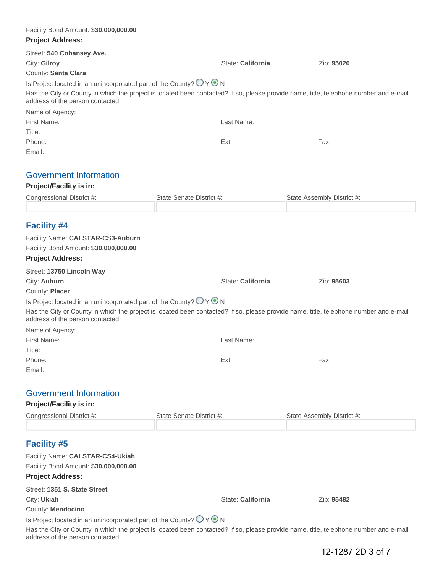| Facility Bond Amount: \$30,000,000.00                                                 |                                                                                                                                       |                            |
|---------------------------------------------------------------------------------------|---------------------------------------------------------------------------------------------------------------------------------------|----------------------------|
| <b>Project Address:</b>                                                               |                                                                                                                                       |                            |
| Street: 540 Cohansey Ave.                                                             |                                                                                                                                       |                            |
| City: Gilroy                                                                          | State: California                                                                                                                     | Zip: 95020                 |
| County: Santa Clara                                                                   |                                                                                                                                       |                            |
| Is Project located in an unincorporated part of the County? $\bigcirc$ Y $\bigcirc$ N |                                                                                                                                       |                            |
| address of the person contacted:                                                      | Has the City or County in which the project is located been contacted? If so, please provide name, title, telephone number and e-mail |                            |
| Name of Agency:                                                                       |                                                                                                                                       |                            |
| First Name:                                                                           | Last Name:                                                                                                                            |                            |
| Title:                                                                                |                                                                                                                                       |                            |
| Phone:                                                                                | Ext:                                                                                                                                  | Fax:                       |
| Email:                                                                                |                                                                                                                                       |                            |
| <b>Government Information</b>                                                         |                                                                                                                                       |                            |
| <b>Project/Facility is in:</b>                                                        |                                                                                                                                       |                            |
| Congressional District #:                                                             | State Senate District #:                                                                                                              | State Assembly District #: |
|                                                                                       |                                                                                                                                       |                            |
| <b>Facility #4</b>                                                                    |                                                                                                                                       |                            |
| Facility Name: CALSTAR-CS3-Auburn                                                     |                                                                                                                                       |                            |
| Facility Bond Amount: \$30,000,000.00                                                 |                                                                                                                                       |                            |
| <b>Project Address:</b>                                                               |                                                                                                                                       |                            |
| Street: 13750 Lincoln Way                                                             |                                                                                                                                       |                            |
| City: Auburn                                                                          | State: California                                                                                                                     | Zip: 95603                 |
| County: Placer                                                                        |                                                                                                                                       |                            |
| Is Project located in an unincorporated part of the County? $\bigcirc$ Y $\bigcirc$ N |                                                                                                                                       |                            |
|                                                                                       | Has the City or County in which the project is located been contacted? If so, please provide name, title, telephone number and e-mail |                            |
| address of the person contacted:                                                      |                                                                                                                                       |                            |
| Name of Agency:                                                                       |                                                                                                                                       |                            |
| First Name:                                                                           | Last Name:                                                                                                                            |                            |
| Title:                                                                                |                                                                                                                                       |                            |
| Phone:                                                                                | Ext:                                                                                                                                  | Fax:                       |
| Email:                                                                                |                                                                                                                                       |                            |
| <b>Government Information</b>                                                         |                                                                                                                                       |                            |
| <b>Project/Facility is in:</b>                                                        |                                                                                                                                       |                            |
| Congressional District #:                                                             | State Senate District #:                                                                                                              | State Assembly District #: |
|                                                                                       |                                                                                                                                       |                            |
| <b>Facility #5</b>                                                                    |                                                                                                                                       |                            |
| Facility Name: CALSTAR-CS4-Ukiah                                                      |                                                                                                                                       |                            |
|                                                                                       |                                                                                                                                       |                            |
| Facility Bond Amount: \$30,000,000.00                                                 |                                                                                                                                       |                            |
| <b>Project Address:</b>                                                               |                                                                                                                                       |                            |
| Street: 1351 S. State Street                                                          |                                                                                                                                       |                            |
| City: Ukiah                                                                           | State: California                                                                                                                     | Zip: 95482                 |
| County: Mendocino                                                                     |                                                                                                                                       |                            |

Has the City or County in which the project is located been contacted? If so, please provide name, title, telephone number and e-mail address of the person contacted: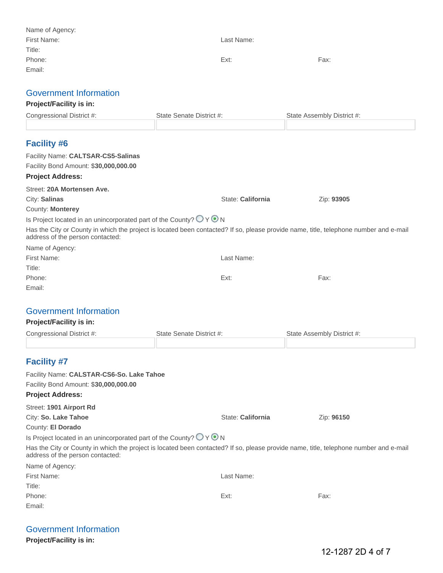| Name of Agency:                       |                          |                            |
|---------------------------------------|--------------------------|----------------------------|
| First Name:                           | Last Name:               |                            |
| Title:                                |                          |                            |
| Phone:                                | Ext:                     | Fax:                       |
| Email:                                |                          |                            |
|                                       |                          |                            |
| <b>Government Information</b>         |                          |                            |
| <b>Project/Facility is in:</b>        |                          |                            |
| Congressional District #:             | State Senate District #: | State Assembly District #: |
|                                       |                          |                            |
| <b>Facility #6</b>                    |                          |                            |
| Facility Name: CALTSAR-CS5-Salinas    |                          |                            |
| Facility Bond Amount: \$30,000,000.00 |                          |                            |
| <b>Project Address:</b>               |                          |                            |
| Street: 20A Mortensen Ave.            |                          |                            |

| City: Salinas    | State: California | Zip: 93905 |
|------------------|-------------------|------------|
| County: Monterey |                   |            |

Is Project located in an unincorporated part of the County?  $\bigcirc$  Y  $\bigcirc$  N

Has the City or County in which the project is located been contacted? If so, please provide name, title, telephone number and e-mail address of the person contacted:

| Name of Agency: |            |      |
|-----------------|------------|------|
| First Name:     | Last Name: |      |
| Title:          |            |      |
| Phone:          | Ext:       | Fax: |
| Email:          |            |      |

### Government Information

#### **Project/Facility is in:**

| Congressional District #: | State Senate District #: | State Assembly District #: |
|---------------------------|--------------------------|----------------------------|
|                           |                          |                            |

## **Facility #7**

| Facility Name: CALSTAR-CS6-So. Lake Tahoe                                                                                                                                 |                   |            |
|---------------------------------------------------------------------------------------------------------------------------------------------------------------------------|-------------------|------------|
| Facility Bond Amount: \$30,000,000.00                                                                                                                                     |                   |            |
| <b>Project Address:</b>                                                                                                                                                   |                   |            |
| Street: 1901 Airport Rd                                                                                                                                                   |                   |            |
| City: So. Lake Tahoe                                                                                                                                                      | State: California | Zip: 96150 |
| County: El Dorado                                                                                                                                                         |                   |            |
| Is Project located in an unincorporated part of the County? $\bigcirc$ Y $\bigcirc$ N                                                                                     |                   |            |
| Has the City or County in which the project is located been contacted? If so, please provide name, title, telephone number and e-mail<br>address of the person contacted: |                   |            |
| Name of Agency:                                                                                                                                                           |                   |            |
| First Name:                                                                                                                                                               | Last Name:        |            |
| Title:                                                                                                                                                                    |                   |            |
| Phone:                                                                                                                                                                    | Ext:              | Fax:       |

| <b>Government Information</b> |  |
|-------------------------------|--|
|                               |  |

**Project/Facility is in:**

Email: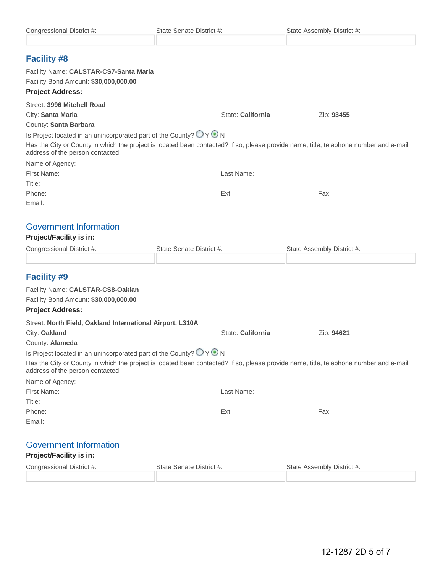| Congressional District #:                                                             | State Senate District #:                                                                                                              | State Assembly District #: |
|---------------------------------------------------------------------------------------|---------------------------------------------------------------------------------------------------------------------------------------|----------------------------|
| <b>Facility #8</b>                                                                    |                                                                                                                                       |                            |
| Facility Name: CALSTAR-CS7-Santa Maria                                                |                                                                                                                                       |                            |
| Facility Bond Amount: \$30,000,000.00                                                 |                                                                                                                                       |                            |
| <b>Project Address:</b>                                                               |                                                                                                                                       |                            |
| Street: 3996 Mitchell Road                                                            |                                                                                                                                       |                            |
| City: Santa Maria                                                                     | State: California                                                                                                                     | Zip: 93455                 |
| County: Santa Barbara                                                                 |                                                                                                                                       |                            |
| Is Project located in an unincorporated part of the County? $\bigcirc$ Y $\bigcirc$ N |                                                                                                                                       |                            |
| address of the person contacted:                                                      | Has the City or County in which the project is located been contacted? If so, please provide name, title, telephone number and e-mail |                            |
| Name of Agency:                                                                       |                                                                                                                                       |                            |
| First Name:                                                                           | Last Name:                                                                                                                            |                            |
| Title:                                                                                |                                                                                                                                       |                            |
| Phone:                                                                                | Ext:                                                                                                                                  | Fax:                       |
| Email:                                                                                |                                                                                                                                       |                            |
| <b>Government Information</b>                                                         |                                                                                                                                       |                            |
| <b>Project/Facility is in:</b>                                                        |                                                                                                                                       |                            |
| Congressional District #:                                                             | State Senate District #:                                                                                                              | State Assembly District #: |
|                                                                                       |                                                                                                                                       |                            |
| <b>Facility #9</b>                                                                    |                                                                                                                                       |                            |
| Facility Name: CALSTAR-CS8-Oaklan                                                     |                                                                                                                                       |                            |
| Facility Bond Amount: \$30,000,000.00                                                 |                                                                                                                                       |                            |
| <b>Project Address:</b>                                                               |                                                                                                                                       |                            |
| Street: North Field, Oakland International Airport, L310A                             |                                                                                                                                       |                            |
| City: Oakland                                                                         | State: California                                                                                                                     | Zip: 94621                 |
| County: Alameda                                                                       |                                                                                                                                       |                            |
| Is Project located in an unincorporated part of the County? $O \vee O N$              |                                                                                                                                       |                            |
| address of the person contacted:                                                      | Has the City or County in which the project is located been contacted? If so, please provide name, title, telephone number and e-mail |                            |
| Name of Agency:                                                                       |                                                                                                                                       |                            |
| First Name:                                                                           | Last Name:                                                                                                                            |                            |
| Title:                                                                                |                                                                                                                                       |                            |
| Phone:                                                                                | Ext:                                                                                                                                  | Fax:                       |
| Email:                                                                                |                                                                                                                                       |                            |
| <b>Government Information</b>                                                         |                                                                                                                                       |                            |
| <b>Project/Facility is in:</b>                                                        |                                                                                                                                       |                            |
| Congressional District #:                                                             | State Senate District #:                                                                                                              | State Assembly District #: |
|                                                                                       |                                                                                                                                       |                            |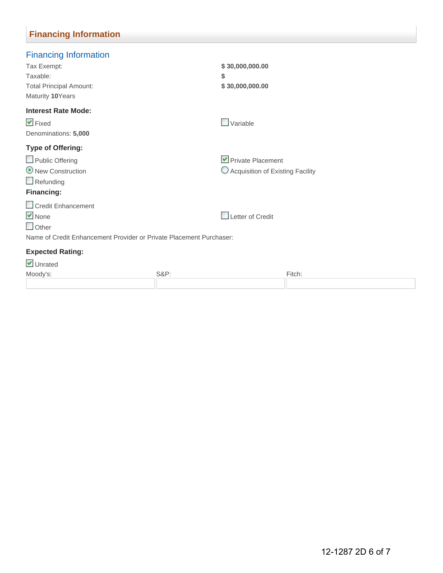## **Financing Information**

| <b>Financing Information</b>                                        |                                    |        |
|---------------------------------------------------------------------|------------------------------------|--------|
| Tax Exempt:                                                         | \$30,000,000.00                    |        |
| Taxable:                                                            | \$                                 |        |
| <b>Total Principal Amount:</b>                                      | \$30,000,000.00                    |        |
| Maturity 10Years                                                    |                                    |        |
| <b>Interest Rate Mode:</b>                                          |                                    |        |
| $\blacktriangleright$ Fixed                                         | $\Box$ Variable                    |        |
| Denominations: 5,000                                                |                                    |        |
| Type of Offering:                                                   |                                    |        |
| Public Offering                                                     | Private Placement                  |        |
| New Construction                                                    | O Acquisition of Existing Facility |        |
| $\Box$ Refunding                                                    |                                    |        |
| <b>Financing:</b>                                                   |                                    |        |
| Credit Enhancement                                                  |                                    |        |
| $\vee$ None                                                         | Letter of Credit                   |        |
| $\Box$ Other                                                        |                                    |        |
| Name of Credit Enhancement Provider or Private Placement Purchaser: |                                    |        |
| <b>Expected Rating:</b>                                             |                                    |        |
| ✔ Unrated                                                           |                                    |        |
| Moody's:                                                            | <b>S&amp;P:</b>                    | Fitch: |
|                                                                     |                                    |        |